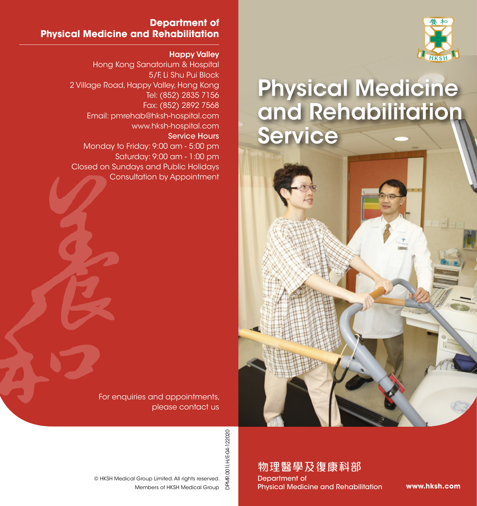

# Physical Medicine and Rehabilitation Service

**Department of Physical Medicine and Rehabilitation**

#### Happy Valley

Hong Kong Sanatorium & Hospital 5/F, Li Shu Pui Block 2 Village Road, Happy Valley, Hong Kong Tel: (852) 2835 7156 Fax: (852) 2892 7568 Email: pmrehab@hksh-hospital.com www.hksh-hospital.com Service Hours Monday to Friday: 9:00 am - 5:00 pm Saturday: 9:00 am - 1:00 pm Closed on Sundays and Public Holidays Consultation by Appointment

> For enquiries and appointments, please contact us

© HKSH Medical Group Limited. All rights reserved.

Members of HKSH Medical Group

DPMR.001I.H/E-04-122020 DPMR.001I.H/E-04-122020

物理醫學及復康科部

Department of Physical Medicine and Rehabilitation

**www.hksh.com**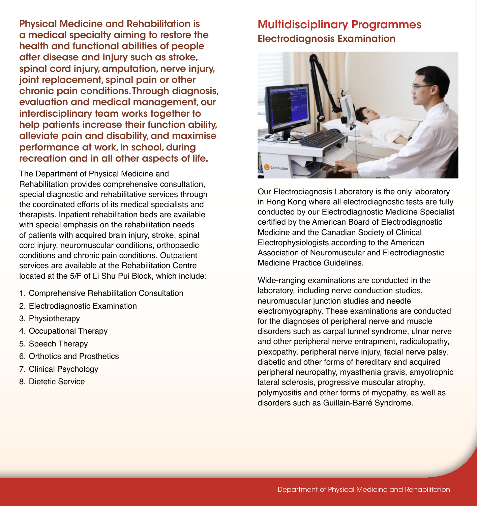Physical Medicine and Rehabilitation is a medical specialty aiming to restore the health and functional abilities of people after disease and injury such as stroke, spinal cord injury, amputation, nerve injury, joint replacement, spinal pain or other chronic pain conditions. Through diagnosis, evaluation and medical management, our interdisciplinary team works together to help patients increase their function ability, alleviate pain and disability, and maximise performance at work, in school, during recreation and in all other aspects of life.

The Department of Physical Medicine and Rehabilitation provides comprehensive consultation, special diagnostic and rehabilitative services through the coordinated efforts of its medical specialists and therapists. Inpatient rehabilitation beds are available with special emphasis on the rehabilitation needs of patients with acquired brain injury, stroke, spinal cord injury, neuromuscular conditions, orthopaedic conditions and chronic pain conditions. Outpatient services are available at the Rehabilitation Centre located at the 5/F of Li Shu Pui Block, which include:

- 1. Comprehensive Rehabilitation Consultation
- 2. Electrodiagnostic Examination
- 3. Physiotherapy
- 4. Occupational Therapy
- 5. Speech Therapy
- 6. Orthotics and Prosthetics
- 7. Clinical Psychology
- 8. Dietetic Service

## Multidisciplinary Programmes Electrodiagnosis Examination



Our Electrodiagnosis Laboratory is the only laboratory in Hong Kong where all electrodiagnostic tests are fully conducted by our Electrodiagnostic Medicine Specialist certified by the American Board of Electrodiagnostic Medicine and the Canadian Society of Clinical Electrophysiologists according to the American Association of Neuromuscular and Electrodiagnostic Medicine Practice Guidelines.

Wide-ranging examinations are conducted in the laboratory, including nerve conduction studies, neuromuscular junction studies and needle electromyography. These examinations are conducted for the diagnoses of peripheral nerve and muscle disorders such as carpal tunnel syndrome, ulnar nerve and other peripheral nerve entrapment, radiculopathy, plexopathy, peripheral nerve injury, facial nerve palsy, diabetic and other forms of hereditary and acquired peripheral neuropathy, myasthenia gravis, amyotrophic lateral sclerosis, progressive muscular atrophy, polymyositis and other forms of myopathy, as well as disorders such as Guillain-Barré Syndrome.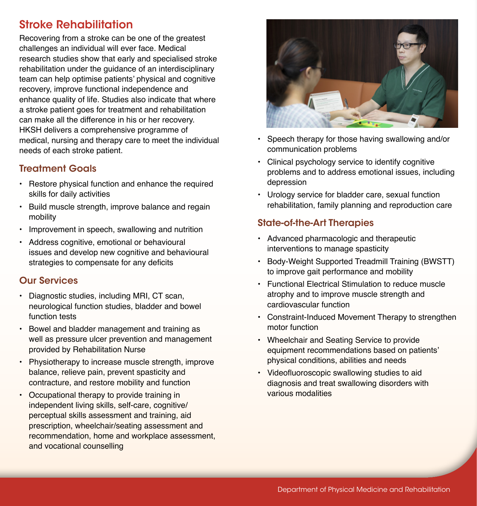# Stroke Rehabilitation

Recovering from a stroke can be one of the greatest challenges an individual will ever face. Medical research studies show that early and specialised stroke rehabilitation under the guidance of an interdisciplinary team can help optimise patients' physical and cognitive recovery, improve functional independence and enhance quality of life. Studies also indicate that where a stroke patient goes for treatment and rehabilitation can make all the difference in his or her recovery. HKSH delivers a comprehensive programme of medical, nursing and therapy care to meet the individual needs of each stroke patient.

### Treatment Goals

- Restore physical function and enhance the required skills for daily activities
- Build muscle strength, improve balance and regain mobility
- Improvement in speech, swallowing and nutrition
- Address cognitive, emotional or behavioural issues and develop new cognitive and behavioural strategies to compensate for any deficits

#### Our Services

- Diagnostic studies, including MRI, CT scan, neurological function studies, bladder and bowel function tests
- Bowel and bladder management and training as well as pressure ulcer prevention and management provided by Rehabilitation Nurse
- Physiotherapy to increase muscle strength, improve balance, relieve pain, prevent spasticity and contracture, and restore mobility and function
- Occupational therapy to provide training in independent living skills, self-care, cognitive/ perceptual skills assessment and training, aid prescription, wheelchair/seating assessment and recommendation, home and workplace assessment, and vocational counselling



- Speech therapy for those having swallowing and/or communication problems
- Clinical psychology service to identify cognitive problems and to address emotional issues, including depression
- Urology service for bladder care, sexual function rehabilitation, family planning and reproduction care

## State-of-the-Art Therapies

- Advanced pharmacologic and therapeutic interventions to manage spasticity
- Body-Weight Supported Treadmill Training (BWSTT) to improve gait performance and mobility
- Functional Electrical Stimulation to reduce muscle atrophy and to improve muscle strength and cardiovascular function
- Constraint-Induced Movement Therapy to strengthen motor function
- Wheelchair and Seating Service to provide equipment recommendations based on patients' physical conditions, abilities and needs
- Videofluoroscopic swallowing studies to aid diagnosis and treat swallowing disorders with various modalities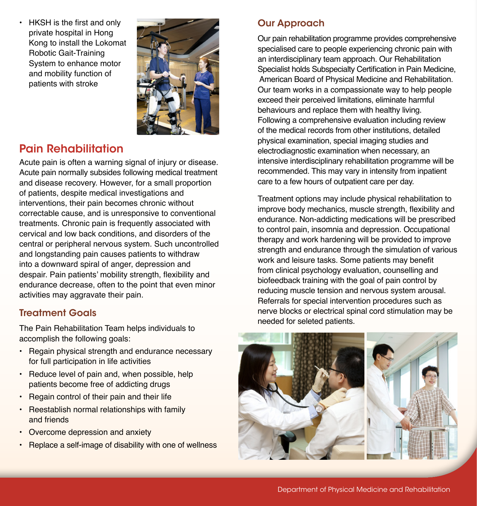• HKSH is the first and only private hospital in Hong Kong to install the Lokomat Robotic Gait-Training System to enhance motor and mobility function of patients with stroke



# Pain Rehabilitation

Acute pain is often a warning signal of injury or disease. Acute pain normally subsides following medical treatment and disease recovery. However, for a small proportion of patients, despite medical investigations and interventions, their pain becomes chronic without correctable cause, and is unresponsive to conventional treatments. Chronic pain is frequently associated with cervical and low back conditions, and disorders of the central or peripheral nervous system. Such uncontrolled and longstanding pain causes patients to withdraw into a downward spiral of anger, depression and despair. Pain patients' mobility strength, flexibility and endurance decrease, often to the point that even minor activities may aggravate their pain.

### Treatment Goals

The Pain Rehabilitation Team helps individuals to accomplish the following goals:

- Regain physical strength and endurance necessary for full participation in life activities
- Reduce level of pain and, when possible, help patients become free of addicting drugs
- Regain control of their pain and their life
- Reestablish normal relationships with family and friends
- Overcome depression and anxiety
- Replace a self-image of disability with one of wellness

## Our Approach

Our pain rehabilitation programme provides comprehensive specialised care to people experiencing chronic pain with an interdisciplinary team approach. Our Rehabilitation Specialist holds Subspecialty Certification in Pain Medicine, American Board of Physical Medicine and Rehabilitation. Our team works in a compassionate way to help people exceed their perceived limitations, eliminate harmful behaviours and replace them with healthy living. Following a comprehensive evaluation including review of the medical records from other institutions, detailed physical examination, special imaging studies and electrodiagnostic examination when necessary, an intensive interdisciplinary rehabilitation programme will be recommended. This may vary in intensity from inpatient care to a few hours of outpatient care per day.

Treatment options may include physical rehabilitation to improve body mechanics, muscle strength, flexibility and endurance. Non-addicting medications will be prescribed to control pain, insomnia and depression. Occupational therapy and work hardening will be provided to improve strength and endurance through the simulation of various work and leisure tasks. Some patients may benefit from clinical psychology evaluation, counselling and biofeedback training with the goal of pain control by reducing muscle tension and nervous system arousal. Referrals for special intervention procedures such as nerve blocks or electrical spinal cord stimulation may be needed for seleted patients.



Department of Physical Medicine and Rehabilitation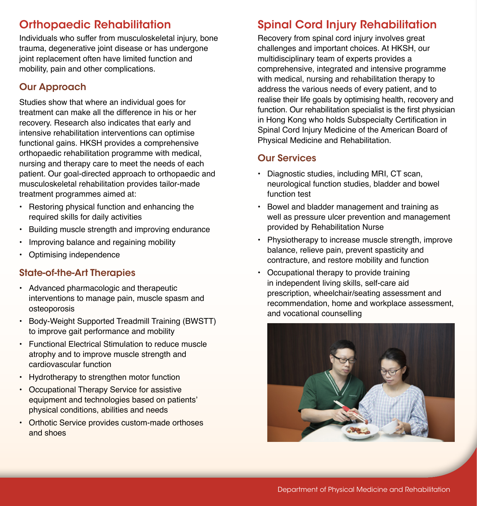# Orthopaedic Rehabilitation

Individuals who suffer from musculoskeletal injury, bone trauma, degenerative joint disease or has undergone joint replacement often have limited function and mobility, pain and other complications.

### Our Approach

Studies show that where an individual goes for treatment can make all the difference in his or her recovery. Research also indicates that early and intensive rehabilitation interventions can optimise functional gains. HKSH provides a comprehensive orthopaedic rehabilitation programme with medical, nursing and therapy care to meet the needs of each patient. Our goal-directed approach to orthopaedic and musculoskeletal rehabilitation provides tailor-made treatment programmes aimed at:

- Restoring physical function and enhancing the required skills for daily activities
- Building muscle strength and improving endurance
- Improving balance and regaining mobility
- Optimising independence

#### State-of-the-Art Therapies

- Advanced pharmacologic and therapeutic interventions to manage pain, muscle spasm and osteoporosis
- Body-Weight Supported Treadmill Training (BWSTT) to improve gait performance and mobility
- Functional Electrical Stimulation to reduce muscle atrophy and to improve muscle strength and cardiovascular function
- Hydrotherapy to strengthen motor function
- Occupational Therapy Service for assistive equipment and technologies based on patients' physical conditions, abilities and needs
- Orthotic Service provides custom-made orthoses and shoes

## Spinal Cord Injury Rehabilitation

Recovery from spinal cord injury involves great challenges and important choices. At HKSH, our multidisciplinary team of experts provides a comprehensive, integrated and intensive programme with medical, nursing and rehabilitation therapy to address the various needs of every patient, and to realise their life goals by optimising health, recovery and function. Our rehabilitation specialist is the first physician in Hong Kong who holds Subspecialty Certification in Spinal Cord Injury Medicine of the American Board of Physical Medicine and Rehabilitation.

#### Our Services

- Diagnostic studies, including MRI, CT scan, neurological function studies, bladder and bowel function test
- Bowel and bladder management and training as well as pressure ulcer prevention and management provided by Rehabilitation Nurse
- Physiotherapy to increase muscle strength, improve balance, relieve pain, prevent spasticity and contracture, and restore mobility and function
- Occupational therapy to provide training in independent living skills, self-care aid prescription, wheelchair/seating assessment and recommendation, home and workplace assessment, and vocational counselling